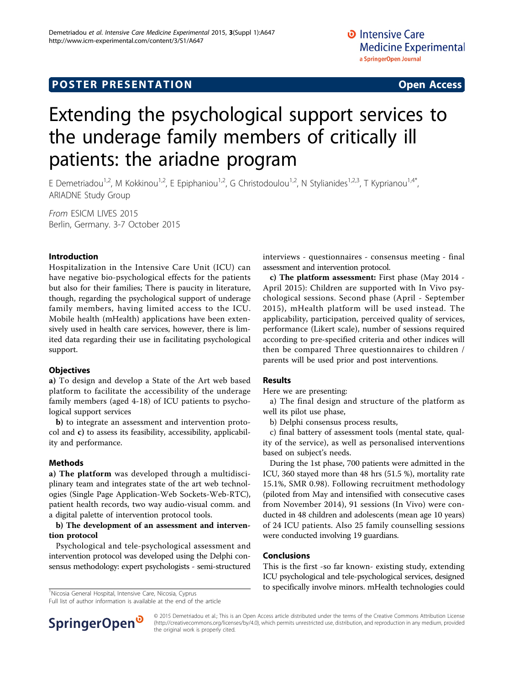# Extending the psychological support services to the underage family members of critically ill patients: the ariadne program

E Demetriadou<sup>1,2</sup>, M Kokkinou<sup>1,2</sup>, E Epiphaniou<sup>1,2</sup>, G Christodoulou<sup>1,2</sup>, N Stylianides<sup>1,2,3</sup>, T Kyprianou<sup>1,4\*</sup>, ARIADNE Study Group

From ESICM LIVES 2015 Berlin, Germany. 3-7 October 2015

## Introduction

Hospitalization in the Intensive Care Unit (ICU) can have negative bio-psychological effects for the patients but also for their families; There is paucity in literature, though, regarding the psychological support of underage family members, having limited access to the ICU. Mobile health (mHealth) applications have been extensively used in health care services, however, there is limited data regarding their use in facilitating psychological support.

### **Objectives**

a) To design and develop a State of the Art web based platform to facilitate the accessibility of the underage family members (aged 4-18) of ICU patients to psychological support services

b) to integrate an assessment and intervention protocol and c) to assess its feasibility, accessibility, applicability and performance.

### Methods

a) The platform was developed through a multidisciplinary team and integrates state of the art web technologies (Single Page Application-Web Sockets-Web-RTC), patient health records, two way audio-visual comm. and a digital palette of intervention protocol tools.

#### b) The development of an assessment and intervention protocol

Psychological and tele-psychological assessment and intervention protocol was developed using the Delphi consensus methodology: expert psychologists - semi-structured

<sup>1</sup>Nicosia General Hospital, Intensive Care, Nicosia, Cyprus

Full list of author information is available at the end of the article

interviews - questionnaires - consensus meeting - final assessment and intervention protocol.

c) The platform assessment: First phase (May 2014 - April 2015): Children are supported with In Vivo psychological sessions. Second phase (April - September 2015), mHealth platform will be used instead. The applicability, participation, perceived quality of services, performance (Likert scale), number of sessions required according to pre-specified criteria and other indices will then be compared Three questionnaires to children / parents will be used prior and post interventions.

#### Results

Here we are presenting:

a) The final design and structure of the platform as well its pilot use phase,

b) Delphi consensus process results,

c) final battery of assessment tools (mental state, quality of the service), as well as personalised interventions based on subject's needs.

During the 1st phase, 700 patients were admitted in the ICU, 360 stayed more than 48 hrs (51.5 %), mortality rate 15.1%, SMR 0.98). Following recruitment methodology (piloted from May and intensified with consecutive cases from November 2014), 91 sessions (In Vivo) were conducted in 48 children and adolescents (mean age 10 years) of 24 ICU patients. Also 25 family counselling sessions were conducted involving 19 guardians.

### Conclusions

This is the first -so far known- existing study, extending ICU psychological and tele-psychological services, designed to specifically involve minors. mHealth technologies could <sup>1</sup>



© 2015 Demetriadou et al.; This is an Open Access article distributed under the terms of the Creative Commons Attribution License [\(http://creativecommons.org/licenses/by/4.0](http://creativecommons.org/licenses/by/4.0)), which permits unrestricted use, distribution, and reproduction in any medium, provided the original work is properly cited.